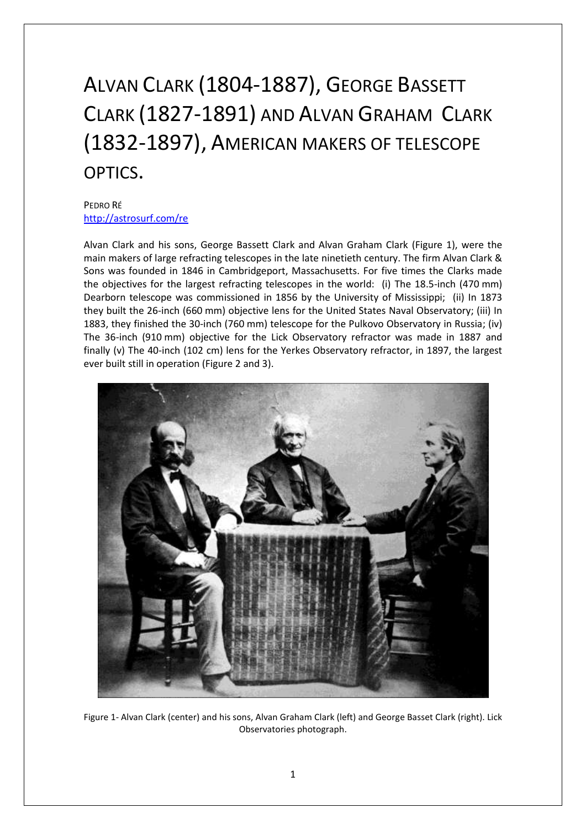## ALVAN CLARK (1804-1887), GEORGE BASSETT CLARK (1827-1891) AND ALVAN GRAHAM CLARK (1832-1897), AMERICAN MAKERS OF TELESCOPE OPTICS.

## PEDRO RÉ <http://astrosurf.com/re>

Alvan Clark and his sons, George Bassett Clark and Alvan Graham Clark (Figure 1), were the main makers of large refracting telescopes in the late ninetieth century. The firm Alvan Clark & Sons was founded in 1846 in Cambridgeport, Massachusetts. For five times the Clarks made the objectives for the largest refracting telescopes in the world: (i) The 18.5-inch (470 mm) Dearborn telescope was commissioned in 1856 by the University of Mississippi; (ii) In 1873 they built the 26-inch (660 mm) objective lens for the United States Naval Observatory; (iii) In 1883, they finished the 30-inch (760 mm) telescope for the Pulkovo Observatory in Russia; (iv) The 36-inch (910 mm) objective for the Lick Observatory refractor was made in 1887 and finally (v) The 40-inch (102 cm) lens for the Yerkes Observatory refractor, in 1897, the largest ever built still in operation (Figure 2 and 3).



Figure 1- Alvan Clark (center) and his sons, Alvan Graham Clark (left) and George Basset Clark (right). Lick Observatories photograph.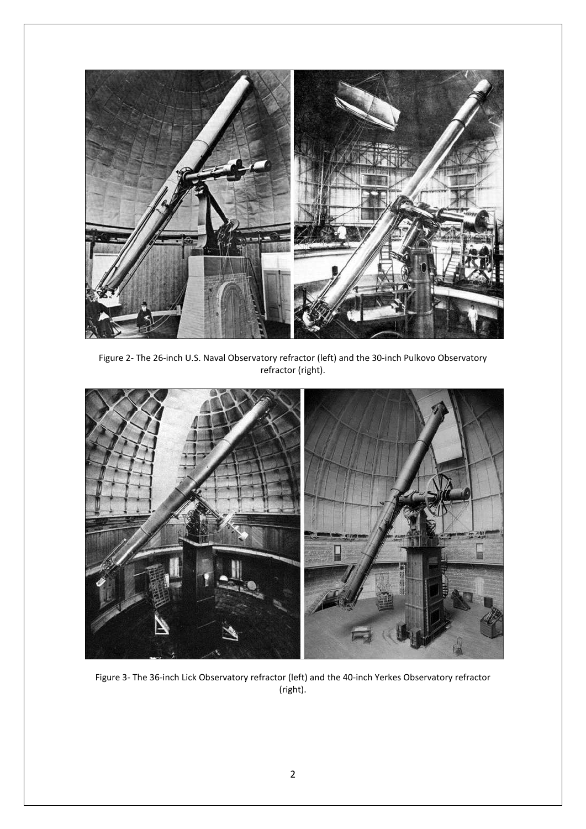

Figure 2- The 26-inch U.S. Naval Observatory refractor (left) and the 30-inch Pulkovo Observatory refractor (right).



Figure 3- The 36-inch Lick Observatory refractor (left) and the 40-inch Yerkes Observatory refractor (right).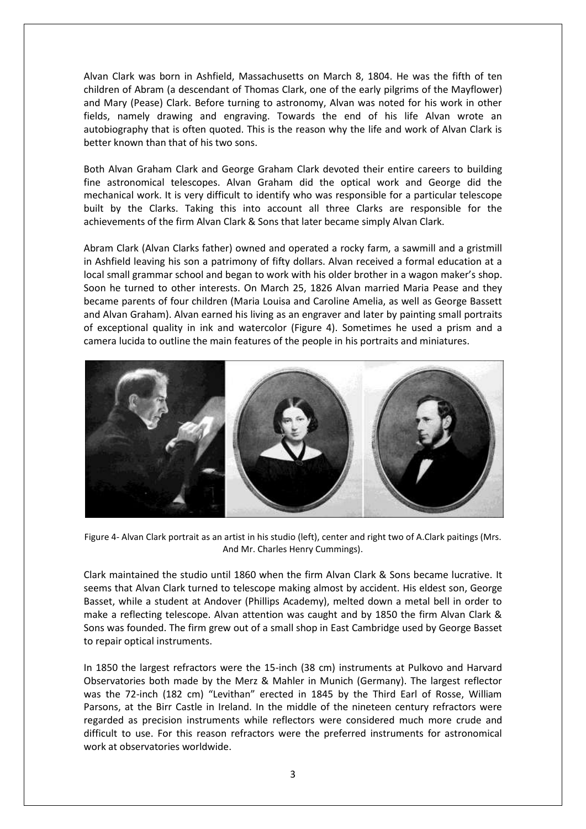Alvan Clark was born in Ashfield, Massachusetts on March 8, 1804. He was the fifth of ten children of Abram (a descendant of Thomas Clark, one of the early pilgrims of the Mayflower) and Mary (Pease) Clark. Before turning to astronomy, Alvan was noted for his work in other fields, namely drawing and engraving. Towards the end of his life Alvan wrote an autobiography that is often quoted. This is the reason why the life and work of Alvan Clark is better known than that of his two sons.

Both Alvan Graham Clark and George Graham Clark devoted their entire careers to building fine astronomical telescopes. Alvan Graham did the optical work and George did the mechanical work. It is very difficult to identify who was responsible for a particular telescope built by the Clarks. Taking this into account all three Clarks are responsible for the achievements of the firm Alvan Clark & Sons that later became simply Alvan Clark.

Abram Clark (Alvan Clarks father) owned and operated a rocky farm, a sawmill and a gristmill in Ashfield leaving his son a patrimony of fifty dollars. Alvan received a formal education at a local small grammar school and began to work with his older brother in a wagon maker's shop. Soon he turned to other interests. On March 25, 1826 Alvan married Maria Pease and they became parents of four children (Maria Louisa and Caroline Amelia, as well as George Bassett and Alvan Graham). Alvan earned his living as an engraver and later by painting small portraits of exceptional quality in ink and watercolor (Figure 4). Sometimes he used a prism and a camera lucida to outline the main features of the people in his portraits and miniatures.



Figure 4- Alvan Clark portrait as an artist in his studio (left), center and right two of A.Clark paitings (Mrs. And Mr. Charles Henry Cummings).

Clark maintained the studio until 1860 when the firm Alvan Clark & Sons became lucrative. It seems that Alvan Clark turned to telescope making almost by accident. His eldest son, George Basset, while a student at Andover (Phillips Academy), melted down a metal bell in order to make a reflecting telescope. Alvan attention was caught and by 1850 the firm Alvan Clark & Sons was founded. The firm grew out of a small shop in East Cambridge used by George Basset to repair optical instruments.

In 1850 the largest refractors were the 15-inch (38 cm) instruments at Pulkovo and Harvard Observatories both made by the Merz & Mahler in Munich (Germany). The largest reflector was the 72-inch (182 cm) "Levithan" erected in 1845 by the Third Earl of Rosse, William Parsons, at the Birr Castle in Ireland. In the middle of the nineteen century refractors were regarded as precision instruments while reflectors were considered much more crude and difficult to use. For this reason refractors were the preferred instruments for astronomical work at observatories worldwide.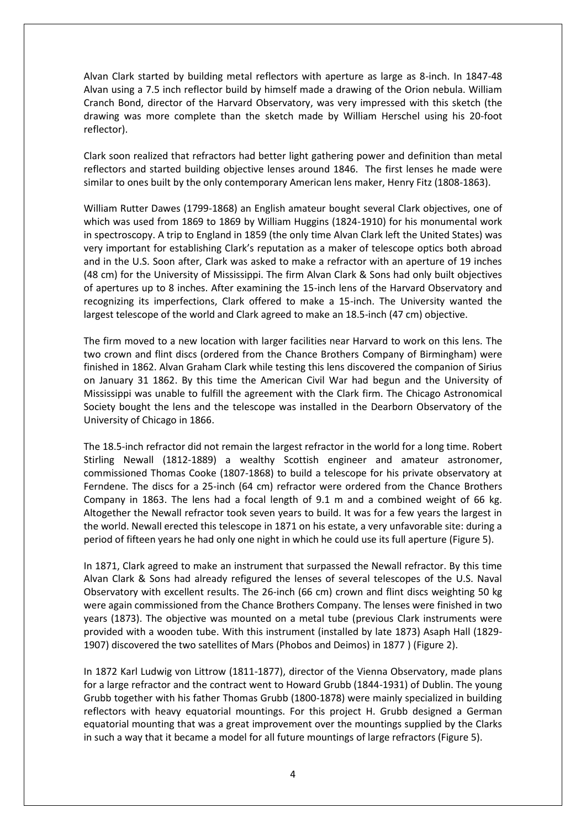Alvan Clark started by building metal reflectors with aperture as large as 8-inch. In 1847-48 Alvan using a 7.5 inch reflector build by himself made a drawing of the Orion nebula. William Cranch Bond, director of the Harvard Observatory, was very impressed with this sketch (the drawing was more complete than the sketch made by William Herschel using his 20-foot reflector).

Clark soon realized that refractors had better light gathering power and definition than metal reflectors and started building objective lenses around 1846. The first lenses he made were similar to ones built by the only contemporary American lens maker, Henry Fitz (1808-1863).

William Rutter Dawes (1799-1868) an English amateur bought several Clark objectives, one of which was used from 1869 to 1869 by William Huggins (1824-1910) for his monumental work in spectroscopy. A trip to England in 1859 (the only time Alvan Clark left the United States) was very important for establishing Clark's reputation as a maker of telescope optics both abroad and in the U.S. Soon after, Clark was asked to make a refractor with an aperture of 19 inches (48 cm) for the University of Mississippi. The firm Alvan Clark & Sons had only built objectives of apertures up to 8 inches. After examining the 15-inch lens of the Harvard Observatory and recognizing its imperfections, Clark offered to make a 15-inch. The University wanted the largest telescope of the world and Clark agreed to make an 18.5-inch (47 cm) objective.

The firm moved to a new location with larger facilities near Harvard to work on this lens. The two crown and flint discs (ordered from the Chance Brothers Company of Birmingham) were finished in 1862. Alvan Graham Clark while testing this lens discovered the companion of Sirius on January 31 1862. By this time the American Civil War had begun and the University of Mississippi was unable to fulfill the agreement with the Clark firm. The Chicago Astronomical Society bought the lens and the telescope was installed in the Dearborn Observatory of the University of Chicago in 1866.

The 18.5-inch refractor did not remain the largest refractor in the world for a long time. Robert Stirling Newall (1812-1889) a wealthy Scottish engineer and amateur astronomer, commissioned Thomas Cooke (1807-1868) to build a telescope for his private observatory at Ferndene. The discs for a 25-inch (64 cm) refractor were ordered from the Chance Brothers Company in 1863. The lens had a focal length of 9.1 m and a combined weight of 66 kg. Altogether the Newall refractor took seven years to build. It was for a few years the largest in the world. Newall erected this telescope in 1871 on his estate, a very unfavorable site: during a period of fifteen years he had only one night in which he could use its full aperture (Figure 5).

In 1871, Clark agreed to make an instrument that surpassed the Newall refractor. By this time Alvan Clark & Sons had already refigured the lenses of several telescopes of the U.S. Naval Observatory with excellent results. The 26-inch (66 cm) crown and flint discs weighting 50 kg were again commissioned from the Chance Brothers Company. The lenses were finished in two years (1873). The objective was mounted on a metal tube (previous Clark instruments were provided with a wooden tube. With this instrument (installed by late 1873) Asaph Hall (1829- 1907) discovered the two satellites of Mars (Phobos and Deimos) in 1877 ) (Figure 2).

In 1872 Karl Ludwig von Littrow (1811-1877), director of the Vienna Observatory, made plans for a large refractor and the contract went to Howard Grubb (1844-1931) of Dublin. The young Grubb together with his father Thomas Grubb (1800-1878) were mainly specialized in building reflectors with heavy equatorial mountings. For this project H. Grubb designed a German equatorial mounting that was a great improvement over the mountings supplied by the Clarks in such a way that it became a model for all future mountings of large refractors (Figure 5).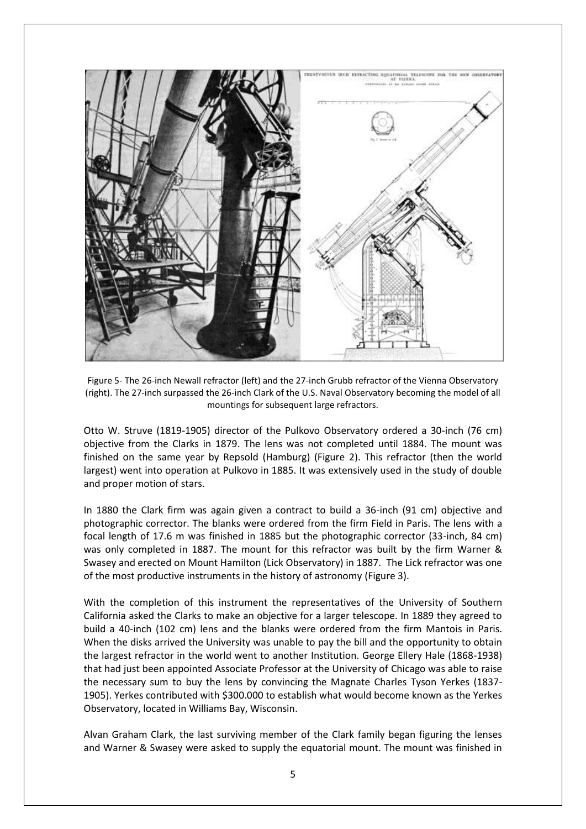

Figure 5- The 26-inch Newall refractor (left) and the 27-inch Grubb refractor of the Vienna Observatory (right). The 27-inch surpassed the 26-inch Clark of the U.S. Naval Observatory becoming the model of all mountings for subsequent large refractors.

Otto W. Struve (1819-1905) director of the Pulkovo Observatory ordered a 30-inch (76 cm) objective from the Clarks in 1879. The lens was not completed until 1884. The mount was finished on the same year by Repsold (Hamburg) (Figure 2). This refractor (then the world largest) went into operation at Pulkovo in 1885. It was extensively used in the study of double and proper motion of stars.

In 1880 the Clark firm was again given a contract to build a 36-inch (91 cm) objective and photographic corrector. The blanks were ordered from the firm Field in Paris. The lens with a focal length of 17.6 m was finished in 1885 but the photographic corrector (33-inch, 84 cm) was only completed in 1887. The mount for this refractor was built by the firm Warner & Swasey and erected on Mount Hamilton (Lick Observatory) in 1887. The Lick refractor was one of the most productive instruments in the history of astronomy (Figure 3).

With the completion of this instrument the representatives of the University of Southern California asked the Clarks to make an objective for a larger telescope. In 1889 they agreed to build a 40-inch (102 cm) lens and the blanks were ordered from the firm Mantois in Paris. When the disks arrived the University was unable to pay the bill and the opportunity to obtain the largest refractor in the world went to another Institution. George Ellery Hale (1868-1938) that had just been appointed Associate Professor at the University of Chicago was able to raise the necessary sum to buy the lens by convincing the Magnate Charles Tyson Yerkes (1837- 1905). Yerkes contributed with \$300.000 to establish what would become known as the Yerkes Observatory, located in Williams Bay, Wisconsin.

Alvan Graham Clark, the last surviving member of the Clark family began figuring the lenses and Warner & Swasey were asked to supply the equatorial mount. The mount was finished in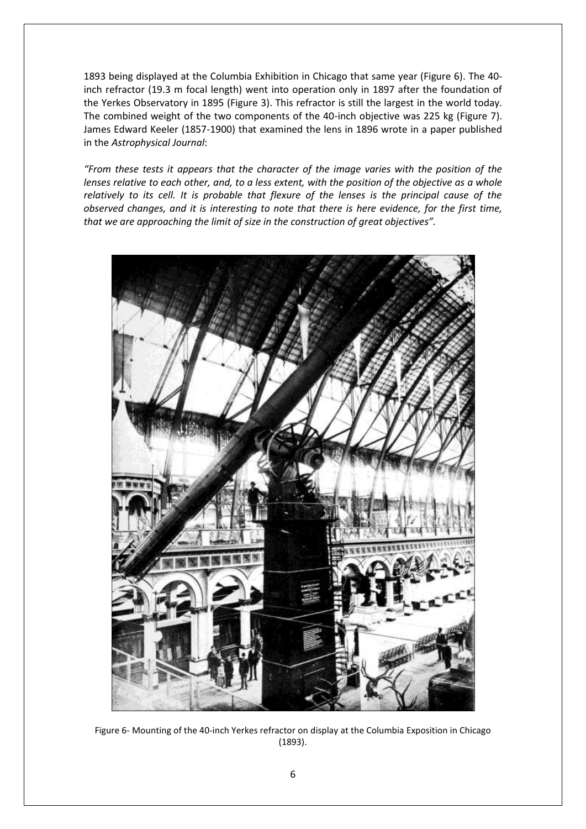1893 being displayed at the Columbia Exhibition in Chicago that same year (Figure 6). The 40 inch refractor (19.3 m focal length) went into operation only in 1897 after the foundation of the Yerkes Observatory in 1895 (Figure 3). This refractor is still the largest in the world today. The combined weight of the two components of the 40-inch objective was 225 kg (Figure 7). James Edward Keeler (1857-1900) that examined the lens in 1896 wrote in a paper published in the *Astrophysical Journal*:

*"From these tests it appears that the character of the image varies with the position of the lenses relative to each other, and, to a less extent, with the position of the objective as a whole relatively to its cell. It is probable that flexure of the lenses is the principal cause of the observed changes, and it is interesting to note that there is here evidence, for the first time, that we are approaching the limit of size in the construction of great objectives".*



Figure 6- Mounting of the 40-inch Yerkes refractor on display at the Columbia Exposition in Chicago (1893).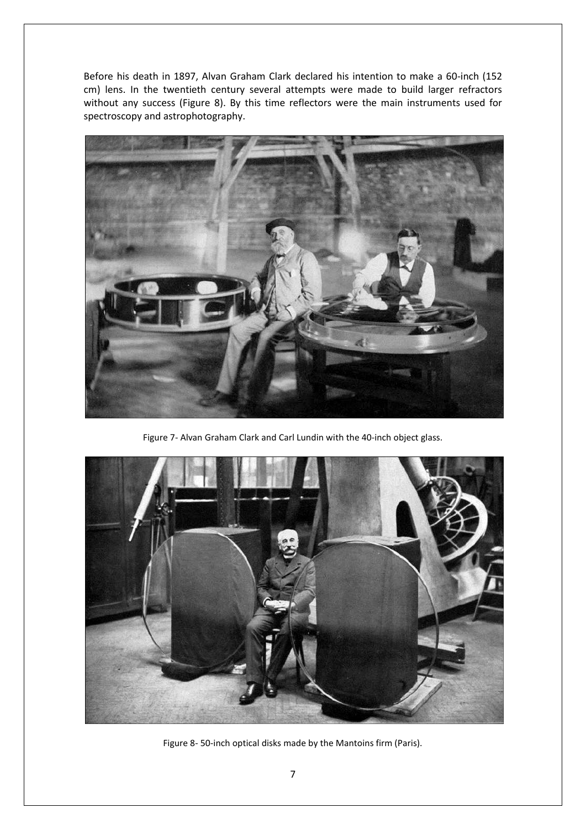Before his death in 1897, Alvan Graham Clark declared his intention to make a 60-inch (152 cm) lens. In the twentieth century several attempts were made to build larger refractors without any success (Figure 8). By this time reflectors were the main instruments used for spectroscopy and astrophotography.



Figure 7- Alvan Graham Clark and Carl Lundin with the 40-inch object glass.



Figure 8- 50-inch optical disks made by the Mantoins firm (Paris).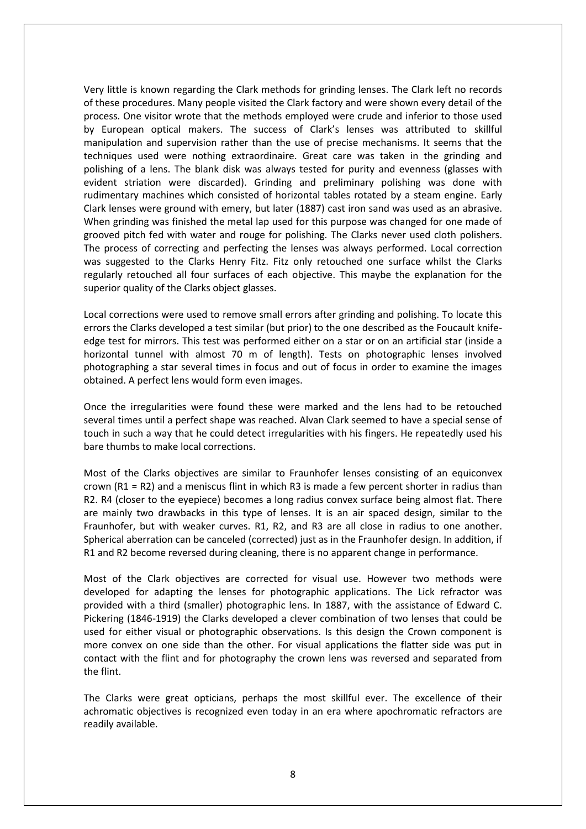Very little is known regarding the Clark methods for grinding lenses. The Clark left no records of these procedures. Many people visited the Clark factory and were shown every detail of the process. One visitor wrote that the methods employed were crude and inferior to those used by European optical makers. The success of Clark's lenses was attributed to skillful manipulation and supervision rather than the use of precise mechanisms. It seems that the techniques used were nothing extraordinaire. Great care was taken in the grinding and polishing of a lens. The blank disk was always tested for purity and evenness (glasses with evident striation were discarded). Grinding and preliminary polishing was done with rudimentary machines which consisted of horizontal tables rotated by a steam engine. Early Clark lenses were ground with emery, but later (1887) cast iron sand was used as an abrasive. When grinding was finished the metal lap used for this purpose was changed for one made of grooved pitch fed with water and rouge for polishing. The Clarks never used cloth polishers. The process of correcting and perfecting the lenses was always performed. Local correction was suggested to the Clarks Henry Fitz. Fitz only retouched one surface whilst the Clarks regularly retouched all four surfaces of each objective. This maybe the explanation for the superior quality of the Clarks object glasses.

Local corrections were used to remove small errors after grinding and polishing. To locate this errors the Clarks developed a test similar (but prior) to the one described as the Foucault knifeedge test for mirrors. This test was performed either on a star or on an artificial star (inside a horizontal tunnel with almost 70 m of length). Tests on photographic lenses involved photographing a star several times in focus and out of focus in order to examine the images obtained. A perfect lens would form even images.

Once the irregularities were found these were marked and the lens had to be retouched several times until a perfect shape was reached. Alvan Clark seemed to have a special sense of touch in such a way that he could detect irregularities with his fingers. He repeatedly used his bare thumbs to make local corrections.

Most of the Clarks objectives are similar to Fraunhofer lenses consisting of an equiconvex crown  $(R1 = R2)$  and a meniscus flint in which R3 is made a few percent shorter in radius than R2. R4 (closer to the eyepiece) becomes a long radius convex surface being almost flat. There are mainly two drawbacks in this type of lenses. It is an air spaced design, similar to the Fraunhofer, but with weaker curves. R1, R2, and R3 are all close in radius to one another. Spherical aberration can be canceled (corrected) just as in the Fraunhofer design. In addition, if R1 and R2 become reversed during cleaning, there is no apparent change in performance.

Most of the Clark objectives are corrected for visual use. However two methods were developed for adapting the lenses for photographic applications. The Lick refractor was provided with a third (smaller) photographic lens. In 1887, with the assistance of Edward C. Pickering (1846-1919) the Clarks developed a clever combination of two lenses that could be used for either visual or photographic observations. Is this design the Crown component is more convex on one side than the other. For visual applications the flatter side was put in contact with the flint and for photography the crown lens was reversed and separated from the flint.

The Clarks were great opticians, perhaps the most skillful ever. The excellence of their achromatic objectives is recognized even today in an era where apochromatic refractors are readily available.